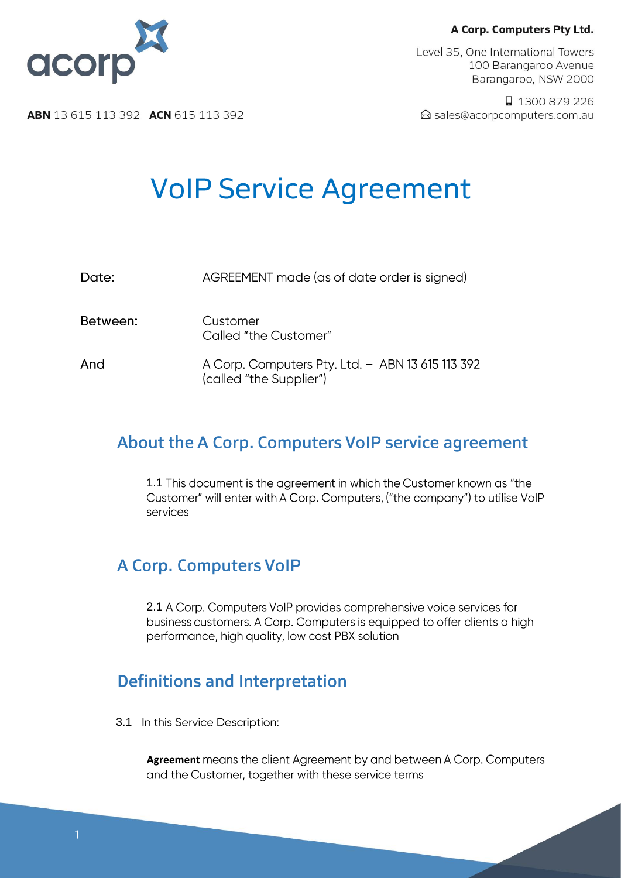Level 35, One International Towers 100 Barangaroo Avenue Barangaroo, NSW 2000

□ 1300 879 226 △ sales@acorpcomputers.com.au



**ABN** 13 615 113 392 **ACN** 615 113 392

# **VoIP Service Agreement**

| Date:    | AGREEMENT made (as of date order is signed)                                 |
|----------|-----------------------------------------------------------------------------|
| Between: | Customer<br>Called "the Customer"                                           |
| And      | A Corp. Computers Pty. Ltd. - ABN 13 615 113 392<br>(called "the Supplier") |

# About the A Corp. Computers VoIP service agreement

1.1 This document is the agreement in which the Customer known as "the Customer" will enter with A Corp. Computers, ("the company") to utilise VoIP services

# **A Corp. Computers VoIP**

2.1 A Corp. Computers VoIP provides comprehensive voice services for business customers. A Corp. Computers is equipped to offer clients a high performance, high quality, low cost PBX solution

# **Definitions and Interpretation**

3.1 In this Service Description:

**Agreement** means the client Agreement by and between A Corp. Computers and the Customer, together with these service terms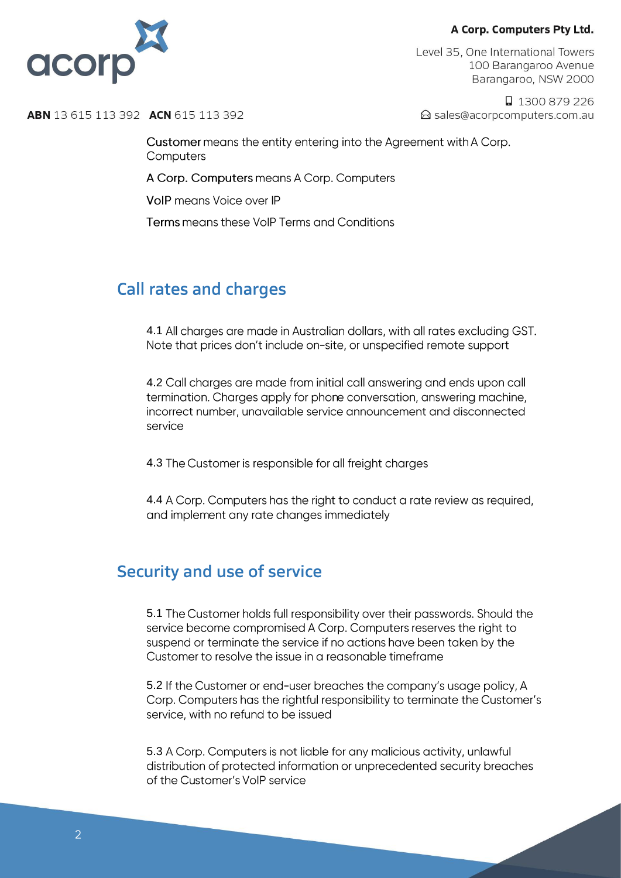

Level 35, One International Towers 100 Barangaroo Avenue Barangaroo, NSW 2000

□ 1300 879 226 △ sales@acorpcomputers.com.au

**ABN** 13 615 113 392 **ACN** 615 113 392

Customer means the entity entering into the Agreement with A Corp. Computers

A Corp. Computers means A Corp. Computers

VoIP means Voice over IP

Terms means these VoIP Terms and Conditions

# **Call rates and charges**

4.1 All charges are made in Australian dollars, with all rates excluding GST. Note that prices don't include on-site, or unspecified remote support

4.2 Call charaes are made from initial call answering and ends upon call termination. Charges apply for phone conversation, answering machine, incorrect number, unavailable service announcement and disconnected service

4.3 The Customer is responsible for all freight charges

4.4 A Corp. Computers has the right to conduct a rate review as required, and implement any rate changes immediately

### **Security and use of service**

5.1 The Customer holds full responsibility over their passwords. Should the service become compromised A Corp. Computers reserves the right to suspend or terminate the service if no actions have been taken by the Customer to resolve the issue in a reasonable timeframe

5.2 If the Customer or end-user breaches the company's usage policy, A Corp. Computers has the rightful responsibility to terminate the Customer's service, with no refund to be issued

5.3 A Corp. Computers is not liable for any malicious activity, unlawful distribution of protected information or unprecedented security breaches of the Customer's VoIP service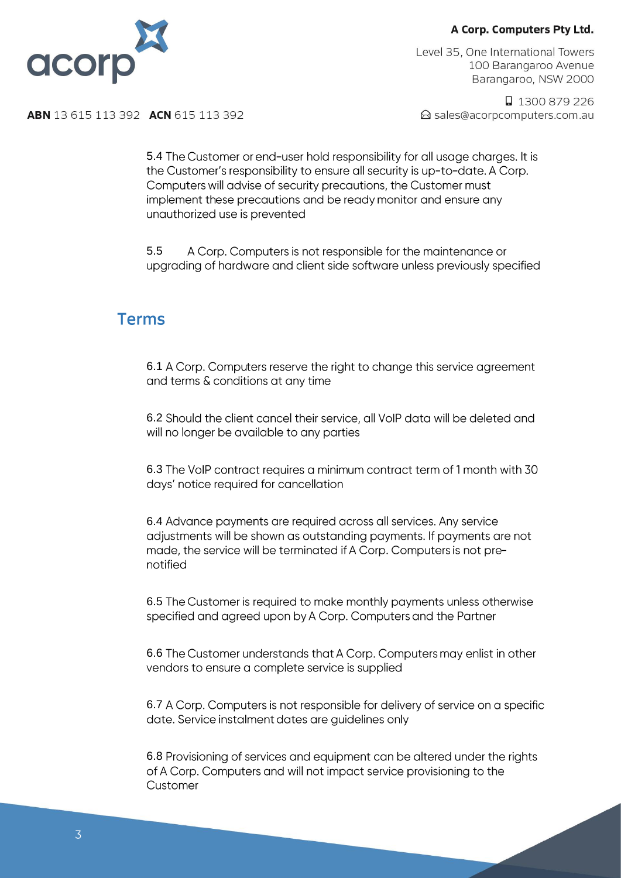

Level 35, One International Towers 100 Barangaroo Avenue Barangaroo, NSW 2000

□ 1300 879 226 △ sales@acorpcomputers.com.au

**ABN** 13 615 113 392 **ACN** 615 113 392

5.4 The Customer or end-user hold responsibility for all usage charges. It is the Customer's responsibility to ensure all security is up-to-date. A Corp. Computers will advise of security precautions, the Customer must implement these precautions and be ready monitor and ensure any unauthorized use is prevented

5.5 A Corp. Computers is not responsible for the maintenance or upgrading of hardware and client side software unless previously specified

### **Terms**

6.1 A Corp. Computers reserve the right to change this service agreement and terms & conditions at any time

6.2 Should the client cancel their service, all VoIP data will be deleted and will no longer be available to any parties

6.3 The VoIP contract requires a minimum contract term of 1 month with 30 days' notice required for cancellation

6.4 Advance payments are required across all services. Any service adjustments will be shown as outstanding payments. If payments are not made, the service will be terminated if A Corp. Computers is not prenotified

6.5 The Customer is required to make monthly payments unless otherwise specified and agreed upon by A Corp. Computers and the Partner

6.6 The Customer understands that A Corp. Computers may enlist in other vendors to ensure a complete service is supplied

6.7 A Corp. Computers is not responsible for delivery of service on a specific date. Service instalment dates are guidelines only

6.8 Provisioning of services and equipment can be altered under the rights of A Corp. Computers and will not impact service provisioning to the Customer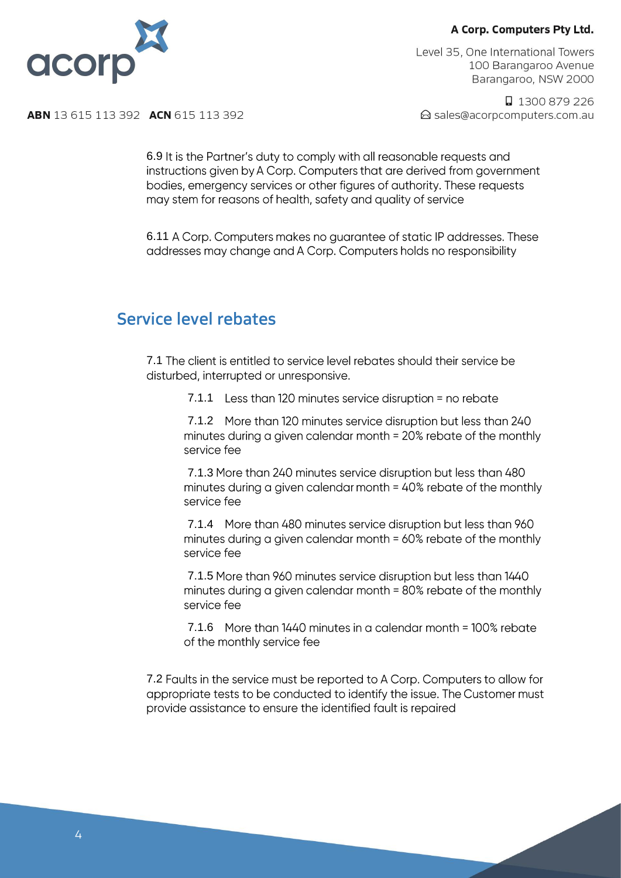

Level 35, One International Towers 100 Barangaroo Avenue Barangaroo, NSW 2000

□ 1300 879 226 △ sales@acorpcomputers.com.au

**ABN** 13 615 113 392 **ACN** 615 113 392

6.9 It is the Partner's duty to comply with all reasonable requests and instructions given by A Corp. Computers that are derived from government bodies, emergency services or other figures of authority. These requests may stem for reasons of health, safety and quality of service

6.11 A Corp. Computers makes no quarantee of static IP addresses. These addresses may change and A Corp. Computers holds no responsibility

### Service level rebates

7.1 The client is entitled to service level rebates should their service be disturbed, interrupted or unresponsive.

7.1.1 Less than 120 minutes service disruption = no rebate

7.1.2 More than 120 minutes service disruption but less than 240 minutes during a given calendar month = 20% rebate of the monthly service fee

7.1.3 More than 240 minutes service disruption but less than 480 minutes during a given calendar month = 40% rebate of the monthly service fee

7.1.4 More than 480 minutes service disruption but less than 960 minutes during a given calendar month = 60% rebate of the monthly service fee

7.1.5 More than 960 minutes service disruption but less than 1440 minutes during a given calendar month = 80% rebate of the monthly service fee

7.1.6 More than 1440 minutes in a calendar month = 100% rebate of the monthly service fee

7.2 Faults in the service must be reported to A Corp. Computers to allow for appropriate tests to be conducted to identify the issue. The Customer must provide assistance to ensure the identified fault is repaired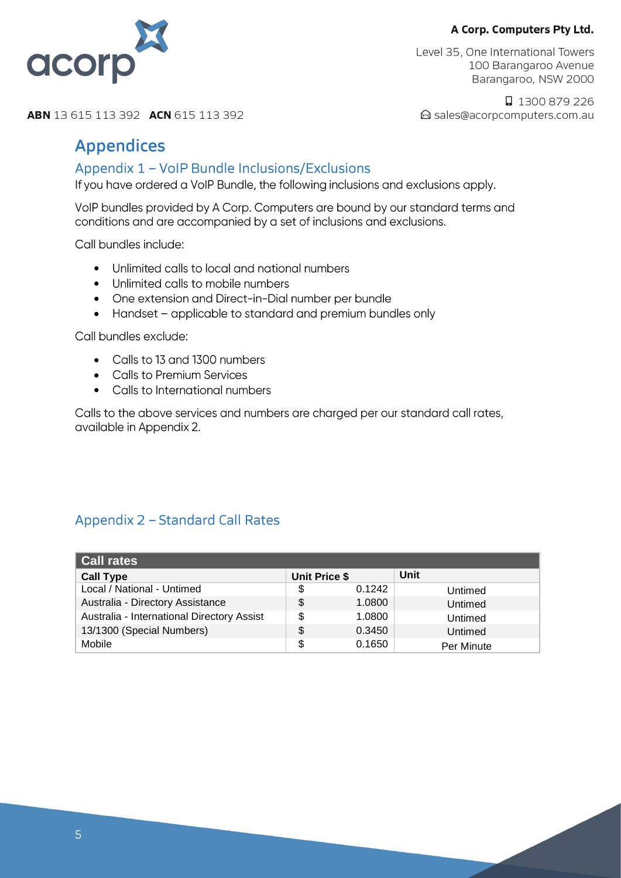

Level 35, One International Towers 100 Barangaroo Avenue Barangaroo, NSW 2000

□ 1300 879 226 △ sales@acorpcomputers.com.au

**ABN** 13 615 113 392 **ACN** 615 113 392

## **Appendices**

#### Appendix 1 - VoIP Bundle Inclusions/Exclusions

If you have ordered a VoIP Bundle, the following inclusions and exclusions apply.

VoIP bundles provided by A Corp. Computers are bound by our standard terms and conditions and are accompanied by a set of inclusions and exclusions.

Call bundles include:

- Unlimited calls to local and national numbers •
- Unlimited calls to mobile numbers
- One extension and Direct-in-Dial number per bundle
- Handset applicable to standard and premium bundles only

Call bundles exclude:

- Calls to 13 and 1300 numbers
- Calls to Premium Services
- Calls to International numbers

Calls to the above services and numbers are charged per our standard call rates, available in Appendix 2.

### Appendix 2 - Standard Call Rates

| <b>Call rates</b>                          |                      |        |            |
|--------------------------------------------|----------------------|--------|------------|
| <b>Call Type</b>                           | <b>Unit Price \$</b> |        | Unit       |
| Local / National - Untimed                 | \$                   | 0.1242 | Untimed    |
| Australia - Directory Assistance           | \$                   | 1.0800 | Untimed    |
| Australia - International Directory Assist | \$                   | 1.0800 | Untimed    |
| 13/1300 (Special Numbers)                  | \$                   | 0.3450 | Untimed    |
| Mobile                                     | \$                   | 0.1650 | Per Minute |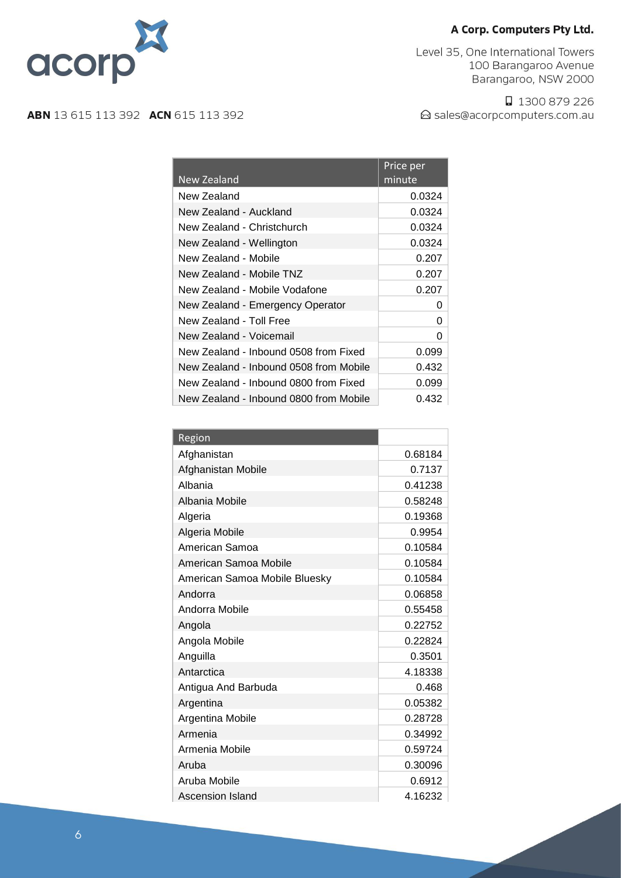Level 35, One International Towers 100 Barangaroo Avenue Barangaroo, NSW 2000

□ 1300 879 226 △ sales@acorpcomputers.com.au



acorp

|                                        | Price per |
|----------------------------------------|-----------|
| New Zealand                            | minute    |
| New Zealand                            | 0.0324    |
| New Zealand - Auckland                 | 0.0324    |
| New Zealand - Christchurch             | 0.0324    |
| New Zealand - Wellington               | 0.0324    |
| New Zealand - Mobile                   | 0.207     |
| New Zealand - Mobile TNZ               | 0.207     |
| New Zealand - Mobile Vodafone          | 0.207     |
| New Zealand - Emergency Operator       | 0         |
| New Zealand - Toll Free                | O         |
| New Zealand - Voicemail                | 0         |
| New Zealand - Inbound 0508 from Fixed  | 0.099     |
| New Zealand - Inbound 0508 from Mobile | 0.432     |
| New Zealand - Inbound 0800 from Fixed  | 0.099     |
| New Zealand - Inbound 0800 from Mobile | 0.432     |

| Region                        |         |
|-------------------------------|---------|
| Afghanistan                   | 0.68184 |
| Afghanistan Mobile            | 0.7137  |
| Albania                       | 0.41238 |
| Albania Mobile                | 0.58248 |
| Algeria                       | 0.19368 |
| Algeria Mobile                | 0.9954  |
| American Samoa                | 0.10584 |
| American Samoa Mobile         | 0.10584 |
| American Samoa Mobile Bluesky | 0.10584 |
| Andorra                       | 0.06858 |
| Andorra Mobile                | 0.55458 |
| Angola                        | 0.22752 |
| Angola Mobile                 | 0.22824 |
| Anguilla                      | 0.3501  |
| Antarctica                    | 4.18338 |
| Antigua And Barbuda           | 0.468   |
| Argentina                     | 0.05382 |
| Argentina Mobile              | 0.28728 |
| Armenia                       | 0.34992 |
| Armenia Mobile                | 0.59724 |
| Aruba                         | 0.30096 |
| Aruba Mobile                  | 0.6912  |
| Ascension Island              | 4.16232 |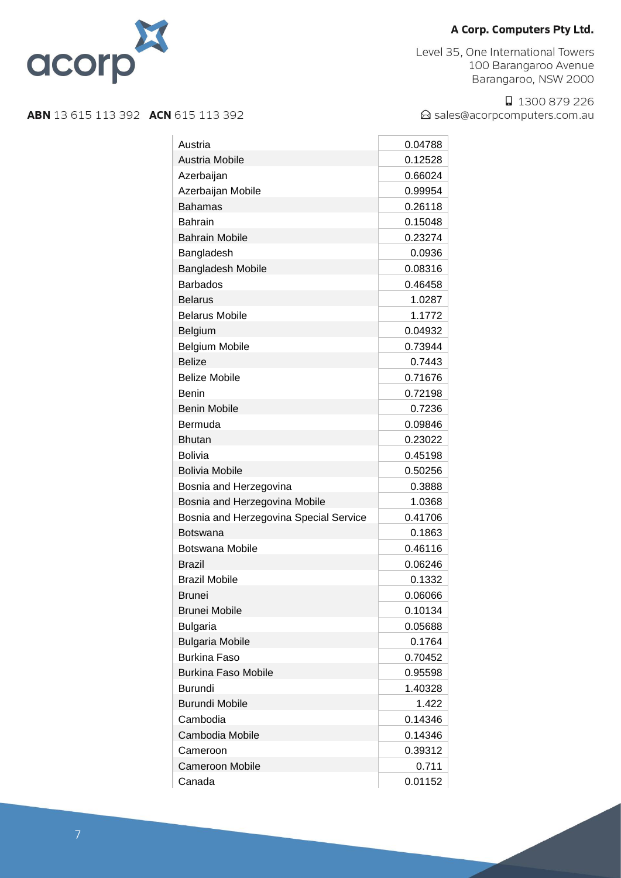

Level 35, One International Towers 100 Barangaroo Avenue Barangaroo, NSW 2000

□ 1300 879 226 △ sales@acorpcomputers.com.au

| Austria                                | 0.04788 |
|----------------------------------------|---------|
| <b>Austria Mobile</b>                  | 0.12528 |
| Azerbaijan                             | 0.66024 |
| Azerbaijan Mobile                      | 0.99954 |
| <b>Bahamas</b>                         | 0.26118 |
| <b>Bahrain</b>                         | 0.15048 |
| <b>Bahrain Mobile</b>                  | 0.23274 |
| Bangladesh                             | 0.0936  |
| <b>Bangladesh Mobile</b>               | 0.08316 |
| <b>Barbados</b>                        | 0.46458 |
| <b>Belarus</b>                         | 1.0287  |
| <b>Belarus Mobile</b>                  | 1.1772  |
| Belgium                                | 0.04932 |
| <b>Belgium Mobile</b>                  | 0.73944 |
| <b>Belize</b>                          | 0.7443  |
| <b>Belize Mobile</b>                   | 0.71676 |
| <b>Benin</b>                           | 0.72198 |
| <b>Benin Mobile</b>                    | 0.7236  |
| Bermuda                                | 0.09846 |
| <b>Bhutan</b>                          | 0.23022 |
| <b>Bolivia</b>                         | 0.45198 |
| <b>Bolivia Mobile</b>                  | 0.50256 |
| Bosnia and Herzegovina                 | 0.3888  |
| Bosnia and Herzegovina Mobile          | 1.0368  |
| Bosnia and Herzegovina Special Service | 0.41706 |
| <b>Botswana</b>                        | 0.1863  |
| Botswana Mobile                        | 0.46116 |
| <b>Brazil</b>                          | 0.06246 |
| <b>Brazil Mobile</b>                   | 0.1332  |
| Brunei                                 | 0.06066 |
| <b>Brunei Mobile</b>                   | 0.10134 |
| <b>Bulgaria</b>                        | 0.05688 |
| <b>Bulgaria Mobile</b>                 | 0.1764  |
| <b>Burkina Faso</b>                    | 0.70452 |
| <b>Burkina Faso Mobile</b>             | 0.95598 |
| <b>Burundi</b>                         | 1.40328 |
| <b>Burundi Mobile</b>                  | 1.422   |
| Cambodia                               | 0.14346 |
| Cambodia Mobile                        | 0.14346 |
| Cameroon                               | 0.39312 |
| <b>Cameroon Mobile</b>                 | 0.711   |
| Canada                                 | 0.01152 |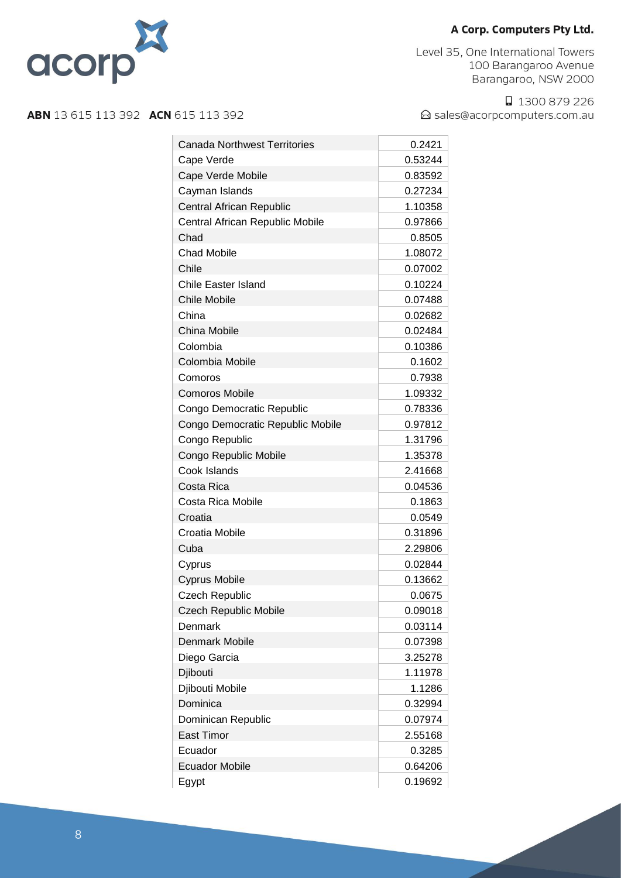

Level 35, One International Towers 100 Barangaroo Avenue Barangaroo, NSW 2000

□ 1300 879 226 △ sales@acorpcomputers.com.au

| <b>Canada Northwest Territories</b><br>0.2421<br>0.53244<br>Cape Verde<br>Cape Verde Mobile<br>0.83592<br>0.27234<br>Cayman Islands<br><b>Central African Republic</b><br>1.10358<br>Central African Republic Mobile<br>0.97866<br>Chad<br>0.8505<br><b>Chad Mobile</b><br>1.08072<br>Chile<br>0.07002<br>Chile Easter Island<br>0.10224<br><b>Chile Mobile</b><br>0.07488<br>China<br>0.02682<br>China Mobile<br>0.02484<br>Colombia<br>0.10386<br>Colombia Mobile<br>0.1602<br>Comoros<br>0.7938<br><b>Comoros Mobile</b><br>1.09332<br>Congo Democratic Republic<br>0.78336<br>Congo Democratic Republic Mobile<br>0.97812<br>Congo Republic<br>1.31796<br>1.35378<br>Congo Republic Mobile<br>Cook Islands<br>2.41668<br>Costa Rica<br>0.04536<br>Costa Rica Mobile<br>0.1863<br>Croatia<br>0.0549<br>Croatia Mobile<br>0.31896<br>Cuba<br>2.29806<br>0.02844<br>Cyprus<br>0.13662<br><b>Cyprus Mobile</b><br>Czech Republic<br>0.0675<br>0.09018<br><b>Czech Republic Mobile</b><br>Denmark<br>0.03114<br><b>Denmark Mobile</b><br>0.07398<br>Diego Garcia<br>3.25278<br>Djibouti<br>1.11978<br>Djibouti Mobile<br>1.1286<br>Dominica<br>0.32994<br>Dominican Republic<br>0.07974<br><b>East Timor</b><br>2.55168<br>Ecuador<br>0.3285<br><b>Ecuador Mobile</b><br>0.64206<br>Egypt<br>0.19692 |  |
|-----------------------------------------------------------------------------------------------------------------------------------------------------------------------------------------------------------------------------------------------------------------------------------------------------------------------------------------------------------------------------------------------------------------------------------------------------------------------------------------------------------------------------------------------------------------------------------------------------------------------------------------------------------------------------------------------------------------------------------------------------------------------------------------------------------------------------------------------------------------------------------------------------------------------------------------------------------------------------------------------------------------------------------------------------------------------------------------------------------------------------------------------------------------------------------------------------------------------------------------------------------------------------------------------------|--|
|                                                                                                                                                                                                                                                                                                                                                                                                                                                                                                                                                                                                                                                                                                                                                                                                                                                                                                                                                                                                                                                                                                                                                                                                                                                                                                     |  |
|                                                                                                                                                                                                                                                                                                                                                                                                                                                                                                                                                                                                                                                                                                                                                                                                                                                                                                                                                                                                                                                                                                                                                                                                                                                                                                     |  |
|                                                                                                                                                                                                                                                                                                                                                                                                                                                                                                                                                                                                                                                                                                                                                                                                                                                                                                                                                                                                                                                                                                                                                                                                                                                                                                     |  |
|                                                                                                                                                                                                                                                                                                                                                                                                                                                                                                                                                                                                                                                                                                                                                                                                                                                                                                                                                                                                                                                                                                                                                                                                                                                                                                     |  |
|                                                                                                                                                                                                                                                                                                                                                                                                                                                                                                                                                                                                                                                                                                                                                                                                                                                                                                                                                                                                                                                                                                                                                                                                                                                                                                     |  |
|                                                                                                                                                                                                                                                                                                                                                                                                                                                                                                                                                                                                                                                                                                                                                                                                                                                                                                                                                                                                                                                                                                                                                                                                                                                                                                     |  |
|                                                                                                                                                                                                                                                                                                                                                                                                                                                                                                                                                                                                                                                                                                                                                                                                                                                                                                                                                                                                                                                                                                                                                                                                                                                                                                     |  |
|                                                                                                                                                                                                                                                                                                                                                                                                                                                                                                                                                                                                                                                                                                                                                                                                                                                                                                                                                                                                                                                                                                                                                                                                                                                                                                     |  |
|                                                                                                                                                                                                                                                                                                                                                                                                                                                                                                                                                                                                                                                                                                                                                                                                                                                                                                                                                                                                                                                                                                                                                                                                                                                                                                     |  |
|                                                                                                                                                                                                                                                                                                                                                                                                                                                                                                                                                                                                                                                                                                                                                                                                                                                                                                                                                                                                                                                                                                                                                                                                                                                                                                     |  |
|                                                                                                                                                                                                                                                                                                                                                                                                                                                                                                                                                                                                                                                                                                                                                                                                                                                                                                                                                                                                                                                                                                                                                                                                                                                                                                     |  |
|                                                                                                                                                                                                                                                                                                                                                                                                                                                                                                                                                                                                                                                                                                                                                                                                                                                                                                                                                                                                                                                                                                                                                                                                                                                                                                     |  |
|                                                                                                                                                                                                                                                                                                                                                                                                                                                                                                                                                                                                                                                                                                                                                                                                                                                                                                                                                                                                                                                                                                                                                                                                                                                                                                     |  |
|                                                                                                                                                                                                                                                                                                                                                                                                                                                                                                                                                                                                                                                                                                                                                                                                                                                                                                                                                                                                                                                                                                                                                                                                                                                                                                     |  |
|                                                                                                                                                                                                                                                                                                                                                                                                                                                                                                                                                                                                                                                                                                                                                                                                                                                                                                                                                                                                                                                                                                                                                                                                                                                                                                     |  |
|                                                                                                                                                                                                                                                                                                                                                                                                                                                                                                                                                                                                                                                                                                                                                                                                                                                                                                                                                                                                                                                                                                                                                                                                                                                                                                     |  |
|                                                                                                                                                                                                                                                                                                                                                                                                                                                                                                                                                                                                                                                                                                                                                                                                                                                                                                                                                                                                                                                                                                                                                                                                                                                                                                     |  |
|                                                                                                                                                                                                                                                                                                                                                                                                                                                                                                                                                                                                                                                                                                                                                                                                                                                                                                                                                                                                                                                                                                                                                                                                                                                                                                     |  |
|                                                                                                                                                                                                                                                                                                                                                                                                                                                                                                                                                                                                                                                                                                                                                                                                                                                                                                                                                                                                                                                                                                                                                                                                                                                                                                     |  |
|                                                                                                                                                                                                                                                                                                                                                                                                                                                                                                                                                                                                                                                                                                                                                                                                                                                                                                                                                                                                                                                                                                                                                                                                                                                                                                     |  |
|                                                                                                                                                                                                                                                                                                                                                                                                                                                                                                                                                                                                                                                                                                                                                                                                                                                                                                                                                                                                                                                                                                                                                                                                                                                                                                     |  |
|                                                                                                                                                                                                                                                                                                                                                                                                                                                                                                                                                                                                                                                                                                                                                                                                                                                                                                                                                                                                                                                                                                                                                                                                                                                                                                     |  |
|                                                                                                                                                                                                                                                                                                                                                                                                                                                                                                                                                                                                                                                                                                                                                                                                                                                                                                                                                                                                                                                                                                                                                                                                                                                                                                     |  |
|                                                                                                                                                                                                                                                                                                                                                                                                                                                                                                                                                                                                                                                                                                                                                                                                                                                                                                                                                                                                                                                                                                                                                                                                                                                                                                     |  |
|                                                                                                                                                                                                                                                                                                                                                                                                                                                                                                                                                                                                                                                                                                                                                                                                                                                                                                                                                                                                                                                                                                                                                                                                                                                                                                     |  |
|                                                                                                                                                                                                                                                                                                                                                                                                                                                                                                                                                                                                                                                                                                                                                                                                                                                                                                                                                                                                                                                                                                                                                                                                                                                                                                     |  |
|                                                                                                                                                                                                                                                                                                                                                                                                                                                                                                                                                                                                                                                                                                                                                                                                                                                                                                                                                                                                                                                                                                                                                                                                                                                                                                     |  |
|                                                                                                                                                                                                                                                                                                                                                                                                                                                                                                                                                                                                                                                                                                                                                                                                                                                                                                                                                                                                                                                                                                                                                                                                                                                                                                     |  |
|                                                                                                                                                                                                                                                                                                                                                                                                                                                                                                                                                                                                                                                                                                                                                                                                                                                                                                                                                                                                                                                                                                                                                                                                                                                                                                     |  |
|                                                                                                                                                                                                                                                                                                                                                                                                                                                                                                                                                                                                                                                                                                                                                                                                                                                                                                                                                                                                                                                                                                                                                                                                                                                                                                     |  |
|                                                                                                                                                                                                                                                                                                                                                                                                                                                                                                                                                                                                                                                                                                                                                                                                                                                                                                                                                                                                                                                                                                                                                                                                                                                                                                     |  |
|                                                                                                                                                                                                                                                                                                                                                                                                                                                                                                                                                                                                                                                                                                                                                                                                                                                                                                                                                                                                                                                                                                                                                                                                                                                                                                     |  |
|                                                                                                                                                                                                                                                                                                                                                                                                                                                                                                                                                                                                                                                                                                                                                                                                                                                                                                                                                                                                                                                                                                                                                                                                                                                                                                     |  |
|                                                                                                                                                                                                                                                                                                                                                                                                                                                                                                                                                                                                                                                                                                                                                                                                                                                                                                                                                                                                                                                                                                                                                                                                                                                                                                     |  |
|                                                                                                                                                                                                                                                                                                                                                                                                                                                                                                                                                                                                                                                                                                                                                                                                                                                                                                                                                                                                                                                                                                                                                                                                                                                                                                     |  |
|                                                                                                                                                                                                                                                                                                                                                                                                                                                                                                                                                                                                                                                                                                                                                                                                                                                                                                                                                                                                                                                                                                                                                                                                                                                                                                     |  |
|                                                                                                                                                                                                                                                                                                                                                                                                                                                                                                                                                                                                                                                                                                                                                                                                                                                                                                                                                                                                                                                                                                                                                                                                                                                                                                     |  |
|                                                                                                                                                                                                                                                                                                                                                                                                                                                                                                                                                                                                                                                                                                                                                                                                                                                                                                                                                                                                                                                                                                                                                                                                                                                                                                     |  |
|                                                                                                                                                                                                                                                                                                                                                                                                                                                                                                                                                                                                                                                                                                                                                                                                                                                                                                                                                                                                                                                                                                                                                                                                                                                                                                     |  |
|                                                                                                                                                                                                                                                                                                                                                                                                                                                                                                                                                                                                                                                                                                                                                                                                                                                                                                                                                                                                                                                                                                                                                                                                                                                                                                     |  |
|                                                                                                                                                                                                                                                                                                                                                                                                                                                                                                                                                                                                                                                                                                                                                                                                                                                                                                                                                                                                                                                                                                                                                                                                                                                                                                     |  |
|                                                                                                                                                                                                                                                                                                                                                                                                                                                                                                                                                                                                                                                                                                                                                                                                                                                                                                                                                                                                                                                                                                                                                                                                                                                                                                     |  |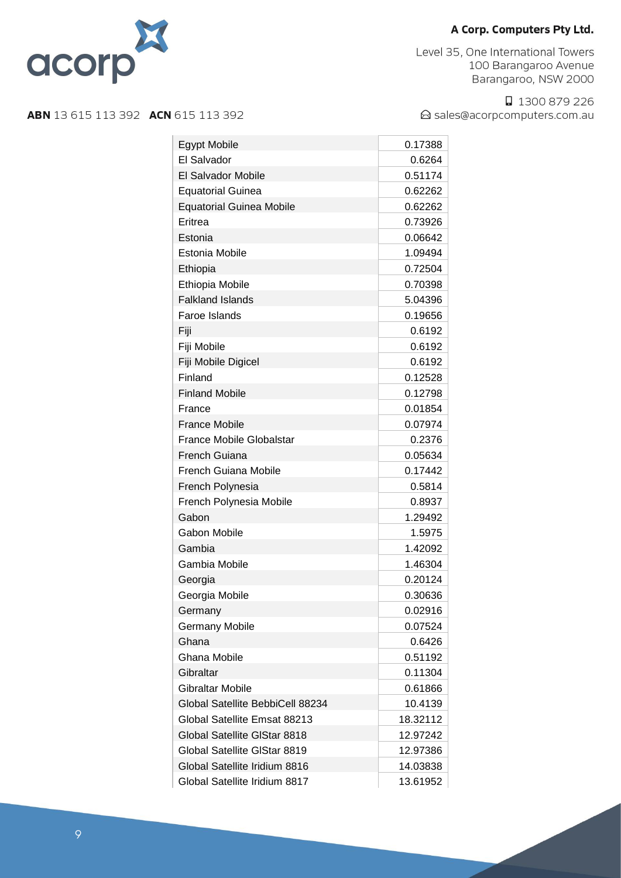

Level 35, One International Towers 100 Barangaroo Avenue Barangaroo, NSW 2000

□ 1300 879 226 △ sales@acorpcomputers.com.au

| <b>Egypt Mobile</b>              | 0.17388  |
|----------------------------------|----------|
| El Salvador                      | 0.6264   |
| El Salvador Mobile               | 0.51174  |
| <b>Equatorial Guinea</b>         | 0.62262  |
| <b>Equatorial Guinea Mobile</b>  | 0.62262  |
| Eritrea                          | 0.73926  |
| Estonia                          | 0.06642  |
| Estonia Mobile                   | 1.09494  |
| Ethiopia                         | 0.72504  |
| Ethiopia Mobile                  | 0.70398  |
| <b>Falkland Islands</b>          | 5.04396  |
| Faroe Islands                    | 0.19656  |
| Fiji                             | 0.6192   |
| Fiji Mobile                      | 0.6192   |
| Fiji Mobile Digicel              | 0.6192   |
| Finland                          | 0.12528  |
| <b>Finland Mobile</b>            | 0.12798  |
| France                           | 0.01854  |
| <b>France Mobile</b>             | 0.07974  |
| France Mobile Globalstar         | 0.2376   |
| French Guiana                    | 0.05634  |
| <b>French Guiana Mobile</b>      | 0.17442  |
| French Polynesia                 | 0.5814   |
| French Polynesia Mobile          | 0.8937   |
| Gabon                            | 1.29492  |
| Gabon Mobile                     | 1.5975   |
| Gambia                           | 1.42092  |
| Gambia Mobile                    | 1.46304  |
| Georgia                          | 0.20124  |
| Georgia Mobile                   | 0.30636  |
| Germany                          | 0.02916  |
| <b>Germany Mobile</b>            | 0.07524  |
| Ghana                            | 0.6426   |
| Ghana Mobile                     | 0.51192  |
| Gibraltar                        | 0.11304  |
| <b>Gibraltar Mobile</b>          | 0.61866  |
| Global Satellite BebbiCell 88234 | 10.4139  |
| Global Satellite Emsat 88213     | 18.32112 |
| Global Satellite GIStar 8818     | 12.97242 |
| Global Satellite GIStar 8819     | 12.97386 |
| Global Satellite Iridium 8816    | 14.03838 |
| Global Satellite Iridium 8817    | 13.61952 |
|                                  |          |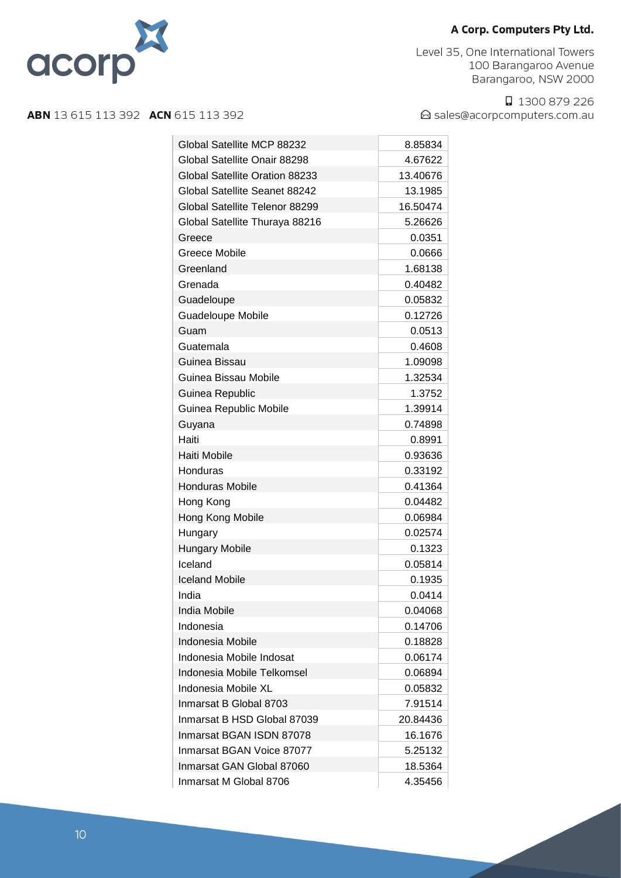

Level 35, One International Towers 100 Barangaroo Avenue Barangaroo, NSW 2000

□ 1300 879 226 △ sales@acorpcomputers.com.au

| Global Satellite MCP 88232     | 8.85834  |
|--------------------------------|----------|
| Global Satellite Onair 88298   | 4.67622  |
| Global Satellite Oration 88233 | 13.40676 |
| Global Satellite Seanet 88242  | 13.1985  |
| Global Satellite Telenor 88299 | 16.50474 |
| Global Satellite Thuraya 88216 | 5.26626  |
| Greece                         | 0.0351   |
| Greece Mobile                  | 0.0666   |
| Greenland                      | 1.68138  |
| Grenada                        | 0.40482  |
| Guadeloupe                     | 0.05832  |
| <b>Guadeloupe Mobile</b>       | 0.12726  |
| Guam                           | 0.0513   |
| Guatemala                      | 0.4608   |
| Guinea Bissau                  | 1.09098  |
| Guinea Bissau Mobile           | 1.32534  |
| Guinea Republic                | 1.3752   |
| Guinea Republic Mobile         | 1.39914  |
| Guyana                         | 0.74898  |
| Haiti                          | 0.8991   |
| Haiti Mobile                   | 0.93636  |
| Honduras                       | 0.33192  |
| <b>Honduras Mobile</b>         | 0.41364  |
| Hong Kong                      | 0.04482  |
| Hong Kong Mobile               | 0.06984  |
| Hungary                        | 0.02574  |
| <b>Hungary Mobile</b>          | 0.1323   |
| Iceland                        | 0.05814  |
| <b>Iceland Mobile</b>          | 0.1935   |
| India                          | 0.0414   |
| India Mobile                   | 0.04068  |
| Indonesia                      | 0.14706  |
| Indonesia Mobile               | 0.18828  |
| Indonesia Mobile Indosat       | 0.06174  |
| Indonesia Mobile Telkomsel     | 0.06894  |
| Indonesia Mobile XL            | 0.05832  |
| Inmarsat B Global 8703         | 7.91514  |
| Inmarsat B HSD Global 87039    | 20.84436 |
| Inmarsat BGAN ISDN 87078       | 16.1676  |
| Inmarsat BGAN Voice 87077      | 5.25132  |
| Inmarsat GAN Global 87060      | 18.5364  |
| Inmarsat M Global 8706         | 4.35456  |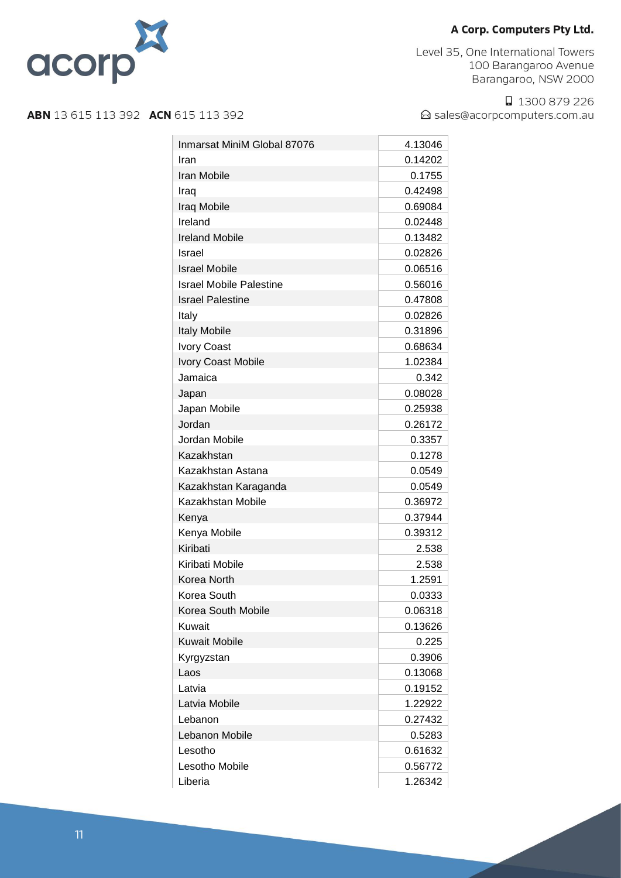

Level 35, One International Towers 100 Barangaroo Avenue Barangaroo, NSW 2000

□ 1300 879 226 △ sales@acorpcomputers.com.au

| Inmarsat MiniM Global 87076    | 4.13046 |
|--------------------------------|---------|
| Iran                           | 0.14202 |
| Iran Mobile                    | 0.1755  |
| Iraq                           | 0.42498 |
| Iraq Mobile                    | 0.69084 |
| Ireland                        | 0.02448 |
| <b>Ireland Mobile</b>          | 0.13482 |
| Israel                         | 0.02826 |
| <b>Israel Mobile</b>           | 0.06516 |
| <b>Israel Mobile Palestine</b> | 0.56016 |
| <b>Israel Palestine</b>        | 0.47808 |
| Italy                          | 0.02826 |
| <b>Italy Mobile</b>            | 0.31896 |
| Ivory Coast                    | 0.68634 |
| Ivory Coast Mobile             | 1.02384 |
| Jamaica                        | 0.342   |
|                                | 0.08028 |
| Japan                          |         |
| Japan Mobile                   | 0.25938 |
| Jordan                         | 0.26172 |
| Jordan Mobile                  | 0.3357  |
| Kazakhstan                     | 0.1278  |
| Kazakhstan Astana              | 0.0549  |
| Kazakhstan Karaganda           | 0.0549  |
| Kazakhstan Mobile              | 0.36972 |
| Kenya                          | 0.37944 |
| Kenya Mobile                   | 0.39312 |
| Kiribati                       | 2.538   |
| Kiribati Mobile                | 2.538   |
| Korea North                    | 1.2591  |
| Korea South                    | 0.0333  |
| Korea South Mobile             | 0.06318 |
| Kuwait                         | 0.13626 |
| <b>Kuwait Mobile</b>           | 0.225   |
| Kyrgyzstan                     | 0.3906  |
| Laos                           | 0.13068 |
| Latvia                         | 0.19152 |
| Latvia Mobile                  | 1.22922 |
| Lebanon                        | 0.27432 |
| Lebanon Mobile                 | 0.5283  |
| Lesotho                        | 0.61632 |
| Lesotho Mobile                 | 0.56772 |
| Liberia                        | 1.26342 |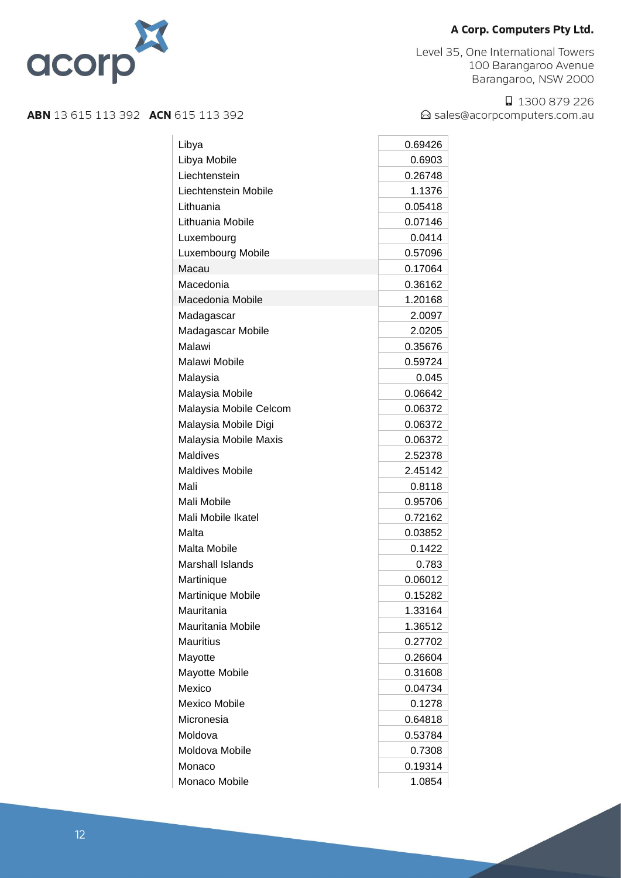

Level 35, One International Towers 100 Barangaroo Avenue Barangaroo, NSW 2000

□ 1300 879 226 △ sales@acorpcomputers.com.au

| Libya                   | 0.69426 |
|-------------------------|---------|
| Libya Mobile            | 0.6903  |
| Liechtenstein           | 0.26748 |
| Liechtenstein Mobile    | 1.1376  |
| Lithuania               | 0.05418 |
| Lithuania Mobile        | 0.07146 |
| Luxembourg              | 0.0414  |
| Luxembourg Mobile       | 0.57096 |
| Macau                   | 0.17064 |
| Macedonia               | 0.36162 |
| Macedonia Mobile        | 1.20168 |
| Madagascar              | 2.0097  |
| Madagascar Mobile       | 2.0205  |
| Malawi                  | 0.35676 |
| Malawi Mobile           | 0.59724 |
| Malaysia                | 0.045   |
| Malaysia Mobile         | 0.06642 |
| Malaysia Mobile Celcom  | 0.06372 |
| Malaysia Mobile Digi    | 0.06372 |
| Malaysia Mobile Maxis   | 0.06372 |
| Maldives                | 2.52378 |
| <b>Maldives Mobile</b>  | 2.45142 |
| Mali                    | 0.8118  |
| Mali Mobile             | 0.95706 |
| Mali Mobile Ikatel      | 0.72162 |
| Malta                   | 0.03852 |
| Malta Mobile            | 0.1422  |
| <b>Marshall Islands</b> | 0.783   |
| Martinique              | 0.06012 |
| Martinique Mobile       | 0.15282 |
| Mauritania              | 1.33164 |
| Mauritania Mobile       | 1.36512 |
| <b>Mauritius</b>        | 0.27702 |
| Mayotte                 | 0.26604 |
| Mayotte Mobile          | 0.31608 |
| Mexico                  | 0.04734 |
| <b>Mexico Mobile</b>    | 0.1278  |
| Micronesia              | 0.64818 |
| Moldova                 | 0.53784 |
| Moldova Mobile          | 0.7308  |
| Monaco                  | 0.19314 |
| Monaco Mobile           | 1.0854  |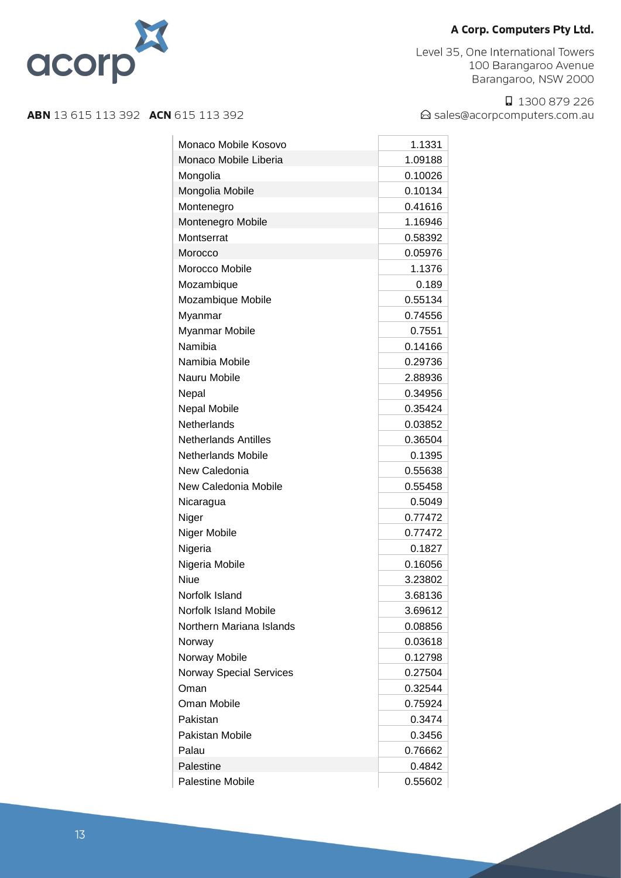

Level 35, One International Towers 100 Barangaroo Avenue Barangaroo, NSW 2000

□ 1300 879 226 △ sales@acorpcomputers.com.au

| Monaco Mobile Kosovo           | 1.1331  |
|--------------------------------|---------|
| Monaco Mobile Liberia          | 1.09188 |
| Mongolia                       | 0.10026 |
| Mongolia Mobile                | 0.10134 |
| Montenegro                     | 0.41616 |
| Montenegro Mobile              | 1.16946 |
| Montserrat                     | 0.58392 |
| Morocco                        | 0.05976 |
| Morocco Mobile                 | 1.1376  |
| Mozambique                     | 0.189   |
| Mozambique Mobile              | 0.55134 |
| Myanmar                        | 0.74556 |
| Myanmar Mobile                 | 0.7551  |
| Namibia                        | 0.14166 |
| Namibia Mobile                 | 0.29736 |
| Nauru Mobile                   | 2.88936 |
| Nepal                          | 0.34956 |
| <b>Nepal Mobile</b>            | 0.35424 |
| Netherlands                    | 0.03852 |
| <b>Netherlands Antilles</b>    | 0.36504 |
| <b>Netherlands Mobile</b>      | 0.1395  |
| New Caledonia                  | 0.55638 |
| New Caledonia Mobile           | 0.55458 |
| Nicaragua                      | 0.5049  |
| Niger                          | 0.77472 |
| Niger Mobile                   | 0.77472 |
| Nigeria                        | 0.1827  |
| Nigeria Mobile                 | 0.16056 |
| Niue                           | 3.23802 |
| Norfolk Island                 | 3.68136 |
| Norfolk Island Mobile          | 3.69612 |
| Northern Mariana Islands       | 0.08856 |
| Norway                         | 0.03618 |
| Norway Mobile                  | 0.12798 |
| <b>Norway Special Services</b> | 0.27504 |
| Oman                           | 0.32544 |
| Oman Mobile                    | 0.75924 |
| Pakistan                       | 0.3474  |
| Pakistan Mobile                | 0.3456  |
| Palau                          | 0.76662 |
| Palestine                      | 0.4842  |
| <b>Palestine Mobile</b>        | 0.55602 |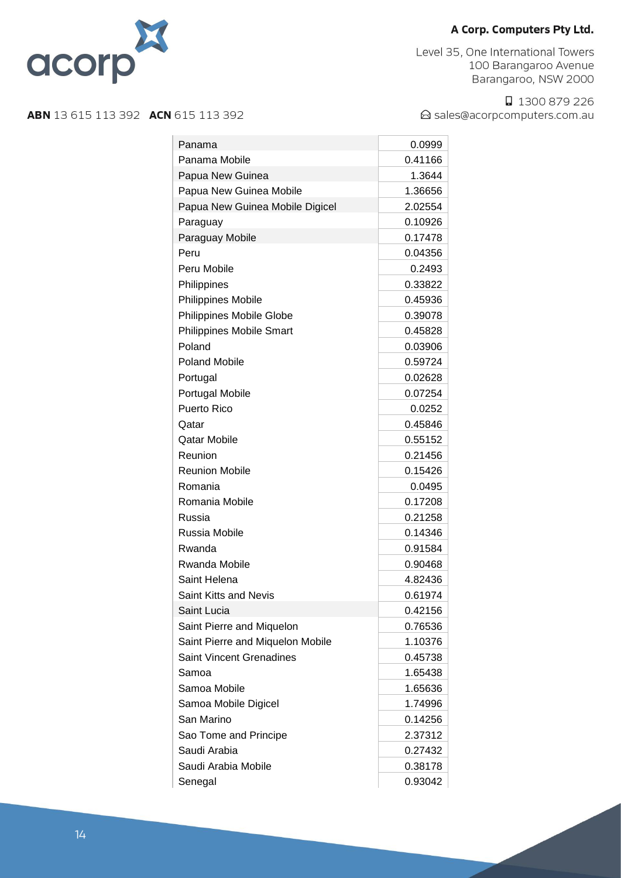

Level 35, One International Towers 100 Barangaroo Avenue Barangaroo, NSW 2000

□ 1300 879 226 △ sales@acorpcomputers.com.au

| Panama                           | 0.0999  |
|----------------------------------|---------|
| Panama Mobile                    | 0.41166 |
| Papua New Guinea                 | 1.3644  |
| Papua New Guinea Mobile          | 1.36656 |
| Papua New Guinea Mobile Digicel  | 2.02554 |
| Paraguay                         | 0.10926 |
| Paraguay Mobile                  | 0.17478 |
| Peru                             | 0.04356 |
| Peru Mobile                      | 0.2493  |
| Philippines                      | 0.33822 |
| <b>Philippines Mobile</b>        | 0.45936 |
| Philippines Mobile Globe         | 0.39078 |
| <b>Philippines Mobile Smart</b>  | 0.45828 |
| Poland                           | 0.03906 |
| <b>Poland Mobile</b>             | 0.59724 |
| Portugal                         | 0.02628 |
| <b>Portugal Mobile</b>           | 0.07254 |
| Puerto Rico                      | 0.0252  |
| Qatar                            | 0.45846 |
| <b>Qatar Mobile</b>              | 0.55152 |
| Reunion                          | 0.21456 |
| <b>Reunion Mobile</b>            | 0.15426 |
| Romania                          | 0.0495  |
| Romania Mobile                   | 0.17208 |
| Russia                           | 0.21258 |
| Russia Mobile                    | 0.14346 |
| Rwanda                           | 0.91584 |
| <b>Rwanda Mobile</b>             | 0.90468 |
| Saint Helena                     | 4.82436 |
| Saint Kitts and Nevis            | 0.61974 |
| Saint Lucia                      | 0.42156 |
| Saint Pierre and Miquelon        | 0.76536 |
| Saint Pierre and Miquelon Mobile | 1.10376 |
| <b>Saint Vincent Grenadines</b>  | 0.45738 |
| Samoa                            | 1.65438 |
| Samoa Mobile                     | 1.65636 |
| Samoa Mobile Digicel             | 1.74996 |
| San Marino                       | 0.14256 |
| Sao Tome and Principe            | 2.37312 |
| Saudi Arabia                     | 0.27432 |
| Saudi Arabia Mobile              | 0.38178 |
| Senegal                          | 0.93042 |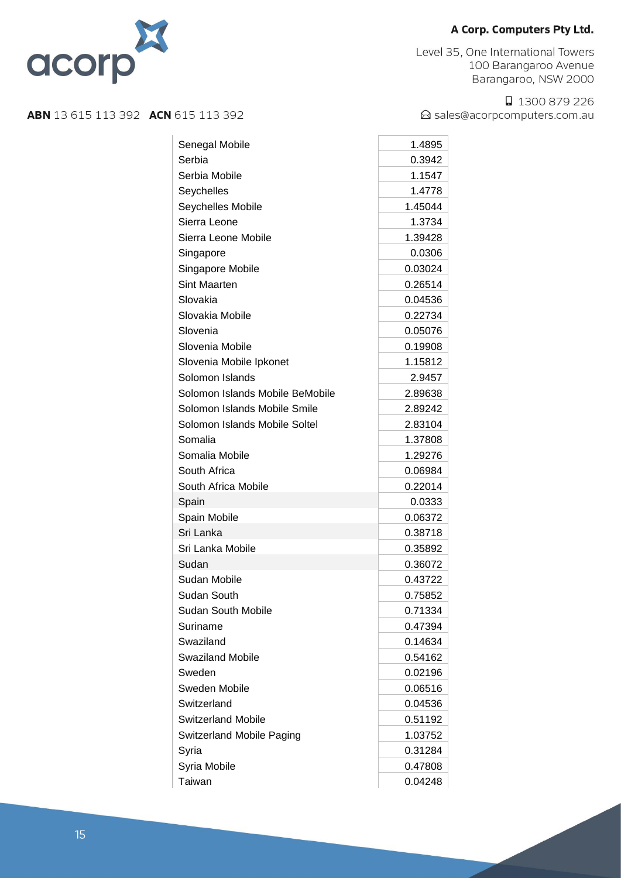



**ABN** 13 615 113 392 **ACN** 615 113 392

□ 1300 879 226 △ sales@acorpcomputers.com.au

#### Senegal Mobile 1.4895 Serbia 0.3942 Serbia Mobile 1.1547 Seychelles 1.4778 Seychelles Mobile 1.45044 Sierra Leone 1.3734 Sierra Leone Mobile 1.39428 Singapore 0.0306 Singapore Mobile 0.03024 Sint Maarten **0.26514** Slovakia 0.04536 Slovakia Mobile 0.22734 Slovenia 0.05076 Slovenia Mobile 0.19908 Slovenia Mobile Ipkonet 1.15812 Solomon Islands 2.9457 Solomon Islands Mobile BeMobile 2.89638 Solomon Islands Mobile Smile 2.89242 Solomon Islands Mobile Soltel 2.83104 Somalia 1.37808 Somalia Mobile 1.29276 South Africa **0.06984** South Africa Mobile 0.22014 Spain 0.0333 Spain Mobile 0.06372 Sri Lanka 0.38718 Sri Lanka Mobile 0.35892 Sudan 0.36072 Sudan Mobile 0.43722 Sudan South 0.75852 Sudan South Mobile **Contract Contract Contract Contract Contract Contract Contract Contract Contract Contract Contract Contract Contract Contract Contract Contract Contract Contract Contract Contract Contract Contract Cont** Suriname 0.47394 Swaziland 0.14634 Swaziland Mobile **6.54162** Sweden 0.02196 Sweden Mobile **COMPUTER** 0.06516 Switzerland 0.04536 Switzerland Mobile **6.51192** Switzerland Mobile Paging 1.03752 Syria 201204 Syria Mobile **0.47808** Taiwan 0.04248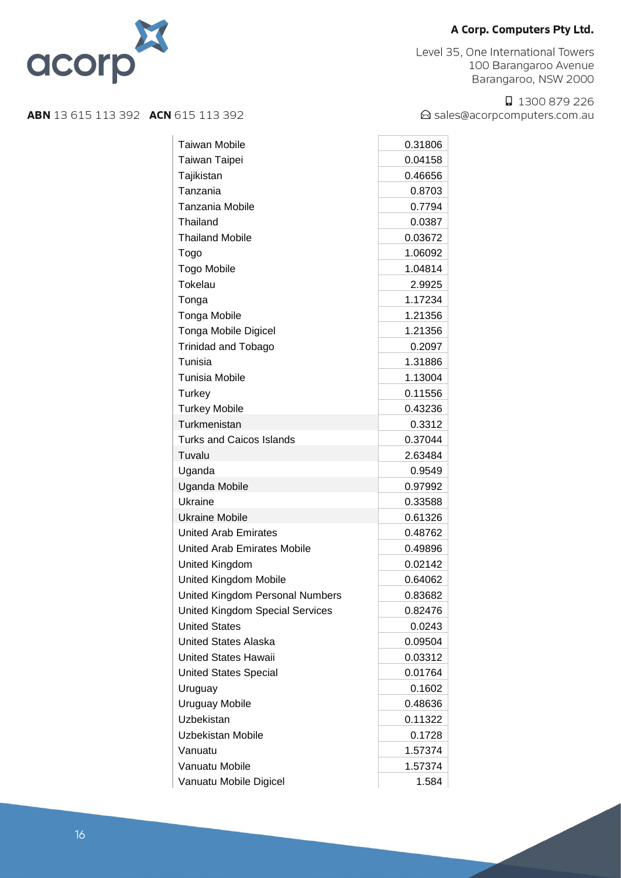Level 35, One International Towers 100 Barangaroo Avenue Barangaroo, NSW 2000

□ 1300 879 226 △ sales@acorpcomputers.com.au



| <b>Taiwan Mobile</b>                   | 0.31806 |
|----------------------------------------|---------|
| Taiwan Taipei                          | 0.04158 |
| Tajikistan                             | 0.46656 |
| Tanzania                               | 0.8703  |
| <b>Tanzania Mobile</b>                 | 0.7794  |
| Thailand                               | 0.0387  |
| <b>Thailand Mobile</b>                 | 0.03672 |
| Togo                                   | 1.06092 |
| <b>Togo Mobile</b>                     | 1.04814 |
| Tokelau                                | 2.9925  |
| Tonga                                  | 1.17234 |
| <b>Tonga Mobile</b>                    | 1.21356 |
| <b>Tonga Mobile Digicel</b>            | 1.21356 |
| <b>Trinidad and Tobago</b>             | 0.2097  |
| Tunisia                                | 1.31886 |
| <b>Tunisia Mobile</b>                  | 1.13004 |
| Turkey                                 | 0.11556 |
| <b>Turkey Mobile</b>                   | 0.43236 |
| Turkmenistan                           | 0.3312  |
| <b>Turks and Caicos Islands</b>        | 0.37044 |
| Tuvalu                                 | 2.63484 |
| Uganda                                 | 0.9549  |
| Uganda Mobile                          | 0.97992 |
| Ukraine                                | 0.33588 |
| <b>Ukraine Mobile</b>                  | 0.61326 |
| <b>United Arab Emirates</b>            | 0.48762 |
| United Arab Emirates Mobile            | 0.49896 |
| United Kingdom                         | 0.02142 |
| United Kingdom Mobile                  | 0.64062 |
| United Kingdom Personal Numbers        | 0.83682 |
| <b>United Kingdom Special Services</b> | 0.82476 |
| <b>United States</b>                   | 0.0243  |
| <b>United States Alaska</b>            | 0.09504 |
| <b>United States Hawaii</b>            | 0.03312 |
| <b>United States Special</b>           | 0.01764 |
| Uruguay                                | 0.1602  |
| <b>Uruguay Mobile</b>                  | 0.48636 |
| Uzbekistan                             | 0.11322 |
| Uzbekistan Mobile                      | 0.1728  |
| Vanuatu                                | 1.57374 |
| Vanuatu Mobile                         | 1.57374 |
| Vanuatu Mobile Digicel                 | 1.584   |